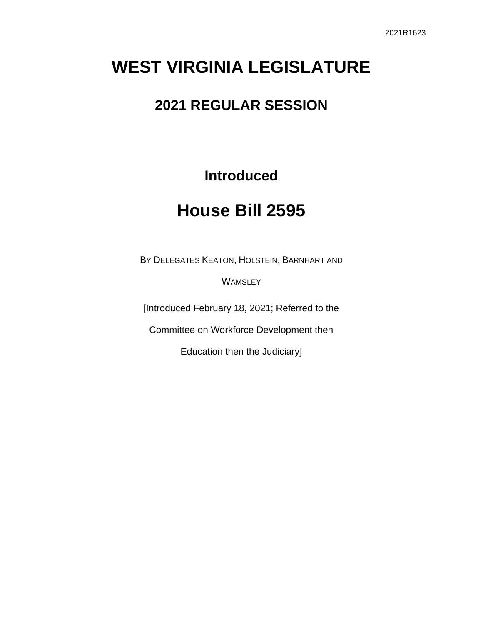# **WEST VIRGINIA LEGISLATURE**

## **2021 REGULAR SESSION**

## **Introduced**

# **House Bill 2595**

BY DELEGATES KEATON, HOLSTEIN, BARNHART AND

**WAMSLEY** 

[Introduced February 18, 2021; Referred to the

Committee on Workforce Development then

Education then the Judiciary]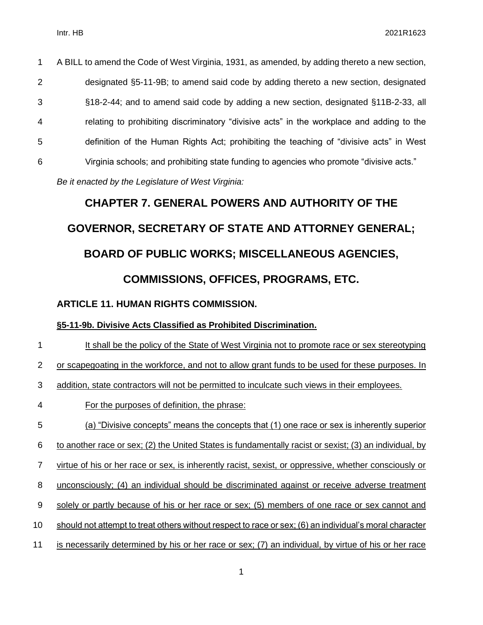A BILL to amend the Code of West Virginia, 1931, as amended, by adding thereto a new section, designated §5-11-9B; to amend said code by adding thereto a new section, designated §18-2-44; and to amend said code by adding a new section, designated §11B-2-33, all relating to prohibiting discriminatory "divisive acts" in the workplace and adding to the definition of the Human Rights Act; prohibiting the teaching of "divisive acts" in West Virginia schools; and prohibiting state funding to agencies who promote "divisive acts." *Be it enacted by the Legislature of West Virginia:*

# **CHAPTER 7. GENERAL POWERS AND AUTHORITY OF THE GOVERNOR, SECRETARY OF STATE AND ATTORNEY GENERAL; BOARD OF PUBLIC WORKS; MISCELLANEOUS AGENCIES, COMMISSIONS, OFFICES, PROGRAMS, ETC.**

**ARTICLE 11. HUMAN RIGHTS COMMISSION.**

#### **§5-11-9b. Divisive Acts Classified as Prohibited Discrimination.**

- 1 It shall be the policy of the State of West Virginia not to promote race or sex stereotyping
- or scapegoating in the workforce, and not to allow grant funds to be used for these purposes. In
- addition, state contractors will not be permitted to inculcate such views in their employees.
- For the purposes of definition, the phrase:
- (a) "Divisive concepts" means the concepts that (1) one race or sex is inherently superior
- to another race or sex; (2) the United States is fundamentally racist or sexist; (3) an individual, by
- virtue of his or her race or sex, is inherently racist, sexist, or oppressive, whether consciously or
- unconsciously; (4) an individual should be discriminated against or receive adverse treatment
- solely or partly because of his or her race or sex; (5) members of one race or sex cannot and
- should not attempt to treat others without respect to race or sex; (6) an individual's moral character
- is necessarily determined by his or her race or sex; (7) an individual, by virtue of his or her race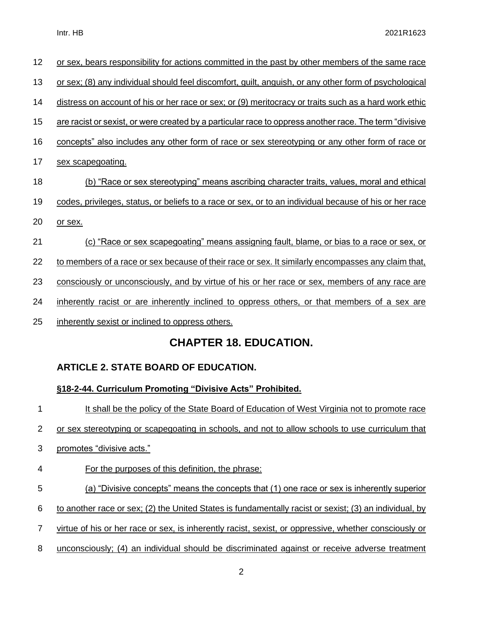|    | <b>CHAPTER 18. EDUCATION.</b>                                                                           |
|----|---------------------------------------------------------------------------------------------------------|
| 25 | inherently sexist or inclined to oppress others.                                                        |
| 24 | inherently racist or are inherently inclined to oppress others, or that members of a sex are            |
| 23 | consciously or unconsciously, and by virtue of his or her race or sex, members of any race are          |
| 22 | to members of a race or sex because of their race or sex. It similarly encompasses any claim that,      |
| 21 | (c) "Race or sex scapegoating" means assigning fault, blame, or bias to a race or sex, or               |
| 20 | or sex.                                                                                                 |
| 19 | codes, privileges, status, or beliefs to a race or sex, or to an individual because of his or her race  |
| 18 | (b) "Race or sex stereotyping" means ascribing character traits, values, moral and ethical              |
| 17 | sex scapegoating.                                                                                       |
| 16 | concepts" also includes any other form of race or sex stereotyping or any other form of race or         |
| 15 | are racist or sexist, or were created by a particular race to oppress another race. The term "divisive" |
| 14 | distress on account of his or her race or sex; or (9) meritocracy or traits such as a hard work ethic   |
| 13 | or sex; (8) any individual should feel discomfort, guilt, anguish, or any other form of psychological   |
| 12 | or sex, bears responsibility for actions committed in the past by other members of the same race        |

#### **ARTICLE 2. STATE BOARD OF EDUCATION.**

#### **§18-2-44. Curriculum Promoting "Divisive Acts" Prohibited.**

 It shall be the policy of the State Board of Education of West Virginia not to promote race or sex stereotyping or scapegoating in schools, and not to allow schools to use curriculum that promotes "divisive acts." For the purposes of this definition, the phrase: (a) "Divisive concepts" means the concepts that (1) one race or sex is inherently superior to another race or sex; (2) the United States is fundamentally racist or sexist; (3) an individual, by virtue of his or her race or sex, is inherently racist, sexist, or oppressive, whether consciously or 8 unconsciously; (4) an individual should be discriminated against or receive adverse treatment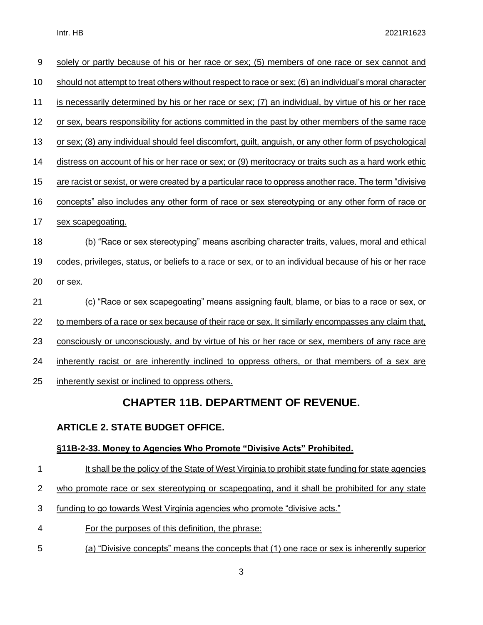| $\boldsymbol{9}$ | solely or partly because of his or her race or sex; (5) members of one race or sex cannot and          |
|------------------|--------------------------------------------------------------------------------------------------------|
| 10               | should not attempt to treat others without respect to race or sex; (6) an individual's moral character |
| 11               | is necessarily determined by his or her race or sex; (7) an individual, by virtue of his or her race   |
| 12               | or sex, bears responsibility for actions committed in the past by other members of the same race       |
| 13               | or sex; (8) any individual should feel discomfort, quilt, anguish, or any other form of psychological  |
| 14               | distress on account of his or her race or sex; or (9) meritocracy or traits such as a hard work ethic  |
| 15               | are racist or sexist, or were created by a particular race to oppress another race. The term "divisive |
| 16               | concepts" also includes any other form of race or sex stereotyping or any other form of race or        |
| 17               | sex scapegoating.                                                                                      |
| 18               | (b) "Race or sex stereotyping" means ascribing character traits, values, moral and ethical             |
| 19               | codes, privileges, status, or beliefs to a race or sex, or to an individual because of his or her race |
| 20               | or sex.                                                                                                |
| 21               | <u>(c) "Race or sex scapegoating" means assigning fault, blame, or bias to a race or sex, or</u>       |
| 22               | to members of a race or sex because of their race or sex. It similarly encompasses any claim that,     |
| 23               | consciously or unconsciously, and by virtue of his or her race or sex, members of any race are         |
| 24               | inherently racist or are inherently inclined to oppress others, or that members of a sex are           |
| 25               | inherently sexist or inclined to oppress others.                                                       |
|                  |                                                                                                        |

### **CHAPTER 11B. DEPARTMENT OF REVENUE.**

#### **ARTICLE 2. STATE BUDGET OFFICE.**

#### **§11B-2-33. Money to Agencies Who Promote "Divisive Acts" Prohibited.**

- 1 It shall be the policy of the State of West Virginia to prohibit state funding for state agencies
- 2 who promote race or sex stereotyping or scapegoating, and it shall be prohibited for any state
- 3 funding to go towards West Virginia agencies who promote "divisive acts."
- 4 For the purposes of this definition, the phrase:
- 5 (a) "Divisive concepts" means the concepts that (1) one race or sex is inherently superior